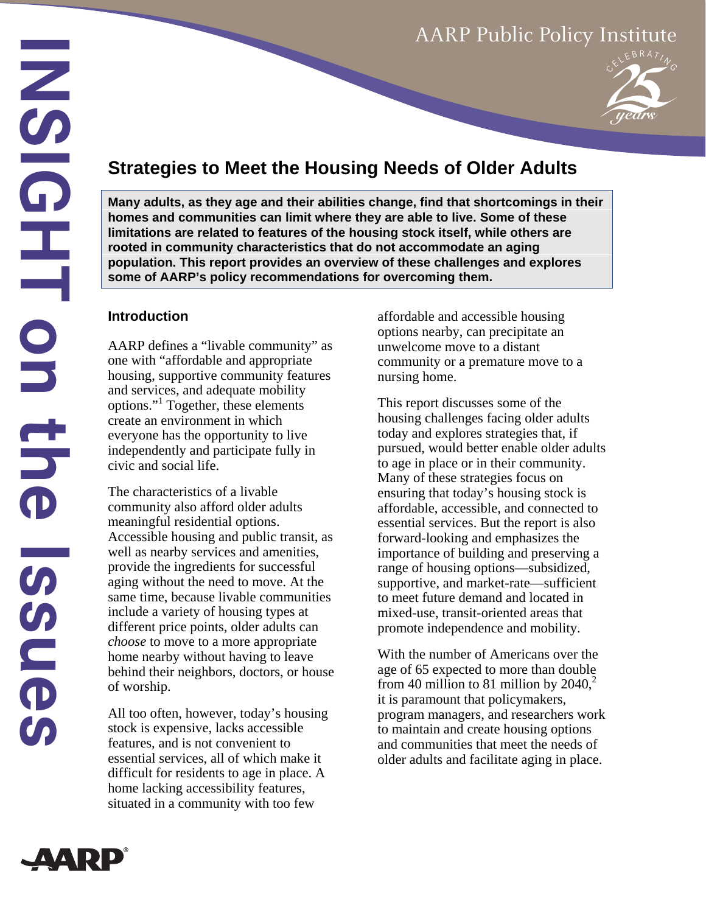# AARP Public Policy Institute



# **Strategies to Meet the Housing Needs of Older Adults**

**Many adults, as they age and their abilities change, find that shortcomings in their homes and communities can limit where they are able to live. Some of these limitations are related to features of the housing stock itself, while others are rooted in community characteristics that do not accommodate an aging population. This report provides an overview of these challenges and explores some of AARP's policy recommendations for overcoming them.**

### **Introduction**

AARP defines a "livable community" as one with "affordable and appropriate housing, supportive community features and services, and adequate mobility options."1 Together, these elements create an environment in which everyone has the opportunity to live independently and participate fully in civic and social life.

The characteristics of a livable community also afford older adults meaningful residential options. Accessible housing and public transit, as well as nearby services and amenities, provide the ingredients for successful aging without the need to move. At the same time, because livable communities include a variety of housing types at different price points, older adults can *choose* to move to a more appropriate home nearby without having to leave behind their neighbors, doctors, or house of worship.

All too often, however, today's housing stock is expensive, lacks accessible features, and is not convenient to essential services, all of which make it difficult for residents to age in place. A home lacking accessibility features, situated in a community with too few

affordable and accessible housing options nearby, can precipitate an unwelcome move to a distant community or a premature move to a nursing home.

This report discusses some of the housing challenges facing older adults today and explores strategies that, if pursued, would better enable older adults to age in place or in their community. Many of these strategies focus on ensuring that today's housing stock is affordable, accessible, and connected to essential services. But the report is also forward-looking and emphasizes the importance of building and preserving a range of housing options—subsidized, supportive, and market-rate—sufficient to meet future demand and located in mixed-use, transit-oriented areas that promote independence and mobility.

With the number of Americans over the age of 65 expected to more than double from 40 million to 81 million by  $2040<sup>2</sup>$ it is paramount that policymakers, program managers, and researchers work to maintain and create housing options and communities that meet the needs of older adults and facilitate aging in place.

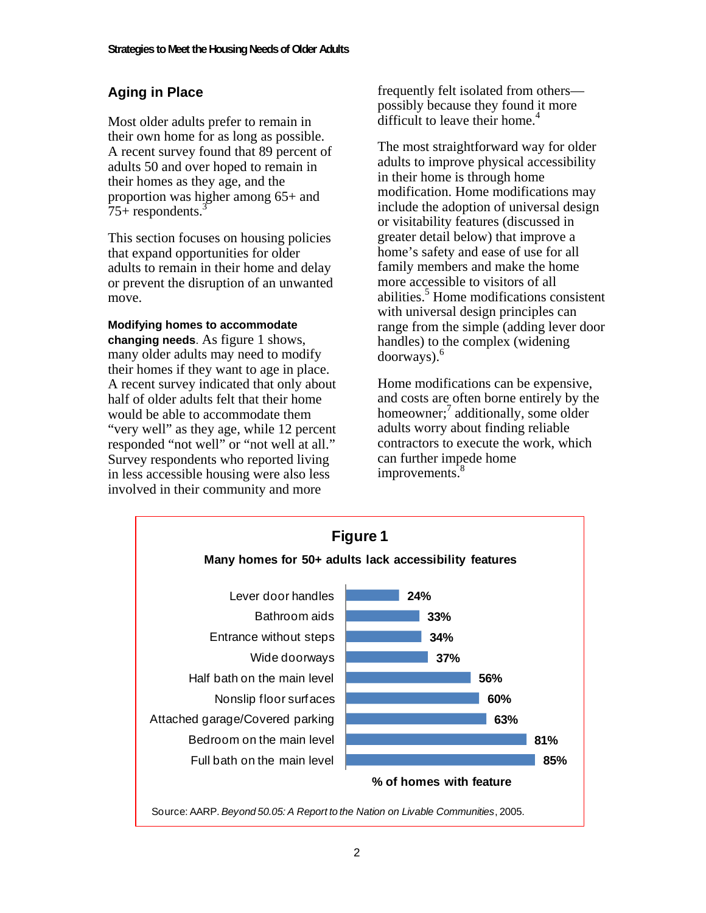# **Aging in Place**

Most older adults prefer to remain in their own home for as long as possible. A recent survey found that 89 percent of adults 50 and over hoped to remain in their homes as they age, and the proportion was higher among 65+ and  $75+$  respondents.<sup>3</sup>

This section focuses on housing policies that expand opportunities for older adults to remain in their home and delay or prevent the disruption of an unwanted move.

**Modifying homes to accommodate changing needs**. As figure 1 shows, many older adults may need to modify their homes if they want to age in place. A recent survey indicated that only about half of older adults felt that their home would be able to accommodate them "very well" as they age, while 12 percent responded "not well" or "not well at all." Survey respondents who reported living in less accessible housing were also less involved in their community and more

frequently felt isolated from others possibly because they found it more difficult to leave their home. $4$ 

The most straightforward way for older adults to improve physical accessibility in their home is through home modification. Home modifications may include the adoption of universal design or visitability features (discussed in greater detail below) that improve a home's safety and ease of use for all family members and make the home more accessible to visitors of all abilities.<sup>5</sup> Home modifications consistent with universal design principles can range from the simple (adding lever door handles) to the complex (widening doorways).6

Home modifications can be expensive, and costs are often borne entirely by the homeowner;<sup>7</sup> additionally, some older adults worry about finding reliable contractors to execute the work, which can further impede home improvements.<sup>8</sup>

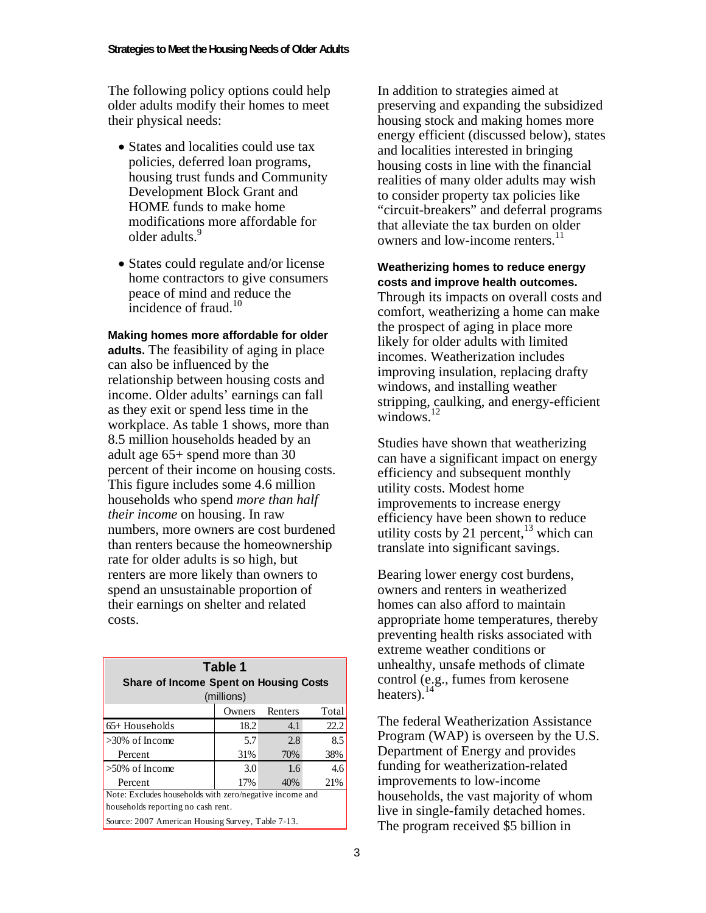The following policy options could help older adults modify their homes to meet their physical needs:

- States and localities could use tax policies, deferred loan programs, housing trust funds and Community Development Block Grant and HOME funds to make home modifications more affordable for older adults.9
- States could regulate and/or license home contractors to give consumers peace of mind and reduce the  $\frac{1}{10}$  incidence of fraud.<sup>10</sup>

**Making homes more affordable for older adults.** The feasibility of aging in place can also be influenced by the relationship between housing costs and income. Older adults' earnings can fall as they exit or spend less time in the workplace. As table 1 shows, more than 8.5 million households headed by an adult age 65+ spend more than 30 percent of their income on housing costs. This figure includes some 4.6 million households who spend *more than half their income* on housing. In raw numbers, more owners are cost burdened than renters because the homeownership rate for older adults is so high, but renters are more likely than owners to spend an unsustainable proportion of their earnings on shelter and related costs.

| Table 1<br><b>Share of Income Spent on Housing Costs</b><br>(millions) |        |         |       |
|------------------------------------------------------------------------|--------|---------|-------|
|                                                                        | Owners | Renters | Total |
| $65+$ Households                                                       | 18.2   | 4.1     | 22.2  |
| $>30\%$ of Income                                                      | 5.7    | 2.8     | 8.5   |
| Percent                                                                | 31%    | 70%     | 38%   |
| $>50\%$ of Income                                                      | 3.0    | 1.6     | 4.6   |
| Percent                                                                | 17%    | 40%     | 21%   |
| Note: Excludes households with zero/negative income and                |        |         |       |
| households reporting no cash rent.                                     |        |         |       |
| Source: 2007 American Housing Survey, Table 7-13.                      |        |         |       |

In addition to strategies aimed at preserving and expanding the subsidized housing stock and making homes more energy efficient (discussed below), states and localities interested in bringing housing costs in line with the financial realities of many older adults may wish to consider property tax policies like "circuit-breakers" and deferral programs that alleviate the tax burden on older owners and low-income renters.<sup>11</sup>

**Weatherizing homes to reduce energy costs and improve health outcomes.**  Through its impacts on overall costs and comfort, weatherizing a home can make the prospect of aging in place more likely for older adults with limited incomes. Weatherization includes improving insulation, replacing drafty windows, and installing weather stripping, caulking, and energy-efficient windows. $12$ 

Studies have shown that weatherizing can have a significant impact on energy efficiency and subsequent monthly utility costs. Modest home improvements to increase energy efficiency have been shown to reduce utility costs by 21 percent, $13$  which can translate into significant savings.

Bearing lower energy cost burdens, owners and renters in weatherized homes can also afford to maintain appropriate home temperatures, thereby preventing health risks associated with extreme weather conditions or unhealthy, unsafe methods of climate control (e.g., fumes from kerosene heaters).<sup>14</sup>

The federal Weatherization Assistance Program (WAP) is overseen by the U.S. Department of Energy and provides funding for weatherization-related improvements to low-income households, the vast majority of whom live in single-family detached homes. The program received \$5 billion in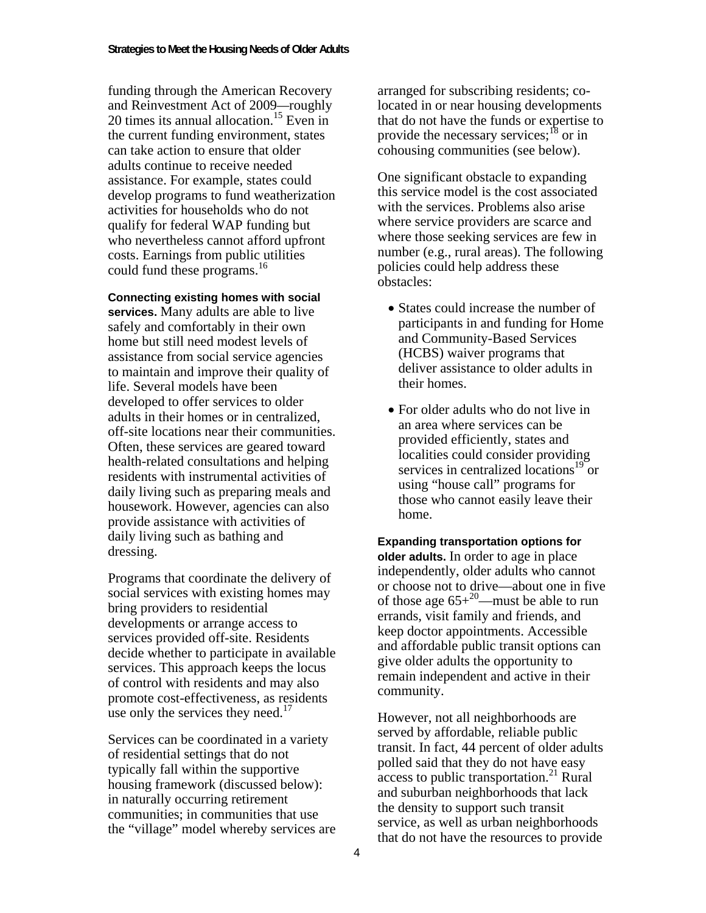funding through the American Recovery and Reinvestment Act of 2009*—*roughly 20 times its annual allocation.<sup>15</sup> Even in the current funding environment, states can take action to ensure that older adults continue to receive needed assistance. For example, states could develop programs to fund weatherization activities for households who do not qualify for federal WAP funding but who nevertheless cannot afford upfront costs. Earnings from public utilities could fund these programs.<sup>16</sup>

**Connecting existing homes with social services.** Many adults are able to live safely and comfortably in their own home but still need modest levels of assistance from social service agencies to maintain and improve their quality of life. Several models have been developed to offer services to older adults in their homes or in centralized, off-site locations near their communities. Often, these services are geared toward health-related consultations and helping residents with instrumental activities of daily living such as preparing meals and housework. However, agencies can also provide assistance with activities of daily living such as bathing and dressing.

Programs that coordinate the delivery of social services with existing homes may bring providers to residential developments or arrange access to services provided off-site. Residents decide whether to participate in available services. This approach keeps the locus of control with residents and may also promote cost-effectiveness, as residents use only the services they need. $17$ 

Services can be coordinated in a variety of residential settings that do not typically fall within the supportive housing framework (discussed below): in naturally occurring retirement communities; in communities that use the "village" model whereby services are arranged for subscribing residents; colocated in or near housing developments that do not have the funds or expertise to provide the necessary services;<sup>18</sup> or in cohousing communities (see below).

One significant obstacle to expanding this service model is the cost associated with the services. Problems also arise where service providers are scarce and where those seeking services are few in number (e.g., rural areas). The following policies could help address these obstacles:

- States could increase the number of participants in and funding for Home and Community-Based Services (HCBS) waiver programs that deliver assistance to older adults in their homes.
- For older adults who do not live in an area where services can be provided efficiently, states and localities could consider providing services in centralized locations<sup>19</sup> or using "house call" programs for those who cannot easily leave their home.

**Expanding transportation options for older adults.** In order to age in place independently, older adults who cannot or choose not to drive—about one in five of those age  $65+^{20}$ —must be able to run errands, visit family and friends, and keep doctor appointments. Accessible and affordable public transit options can give older adults the opportunity to remain independent and active in their community.

However, not all neighborhoods are served by affordable, reliable public transit. In fact, 44 percent of older adults polled said that they do not have easy access to public transportation.<sup>21</sup> Rural and suburban neighborhoods that lack the density to support such transit service, as well as urban neighborhoods that do not have the resources to provide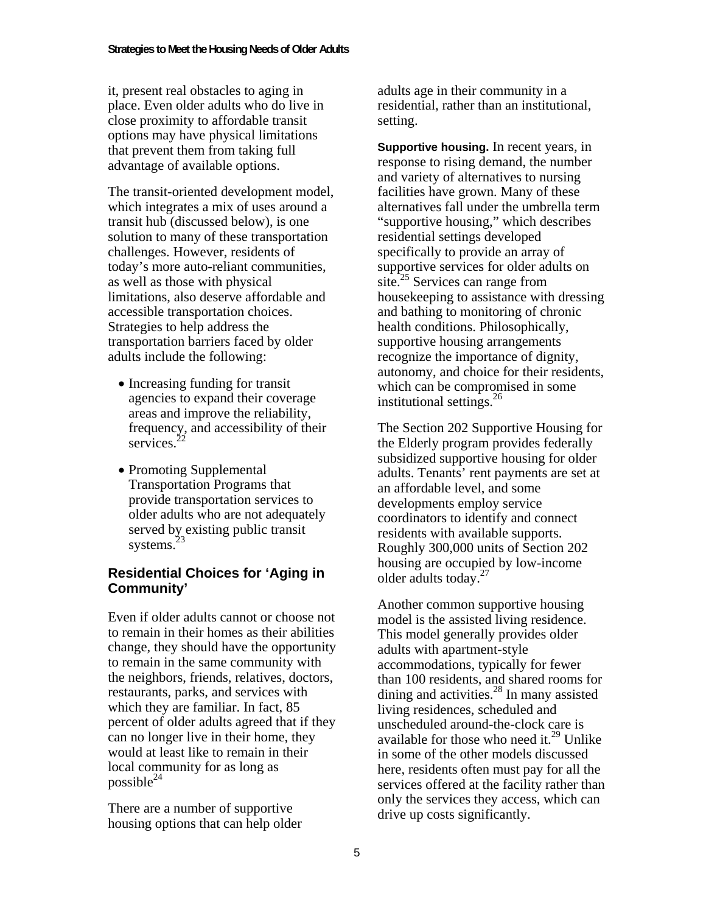it, present real obstacles to aging in place. Even older adults who do live in close proximity to affordable transit options may have physical limitations that prevent them from taking full advantage of available options.

The transit-oriented development model, which integrates a mix of uses around a transit hub (discussed below), is one solution to many of these transportation challenges. However, residents of today's more auto-reliant communities, as well as those with physical limitations, also deserve affordable and accessible transportation choices. Strategies to help address the transportation barriers faced by older adults include the following:

- Increasing funding for transit agencies to expand their coverage areas and improve the reliability, frequency, and accessibility of their services.<sup>2</sup>
- Promoting Supplemental Transportation Programs that provide transportation services to older adults who are not adequately served by existing public transit systems.<sup>23</sup>

## **Residential Choices for 'Aging in Community'**

Even if older adults cannot or choose not to remain in their homes as their abilities change, they should have the opportunity to remain in the same community with the neighbors, friends, relatives, doctors, restaurants, parks, and services with which they are familiar. In fact, 85 percent of older adults agreed that if they can no longer live in their home, they would at least like to remain in their local community for as long as possible $^{24}$ 

There are a number of supportive housing options that can help older adults age in their community in a residential, rather than an institutional, setting.

**Supportive housing.** In recent years, in response to rising demand, the number and variety of alternatives to nursing facilities have grown. Many of these alternatives fall under the umbrella term "supportive housing," which describes residential settings developed specifically to provide an array of supportive services for older adults on site.<sup>25</sup> Services can range from housekeeping to assistance with dressing and bathing to monitoring of chronic health conditions. Philosophically, supportive housing arrangements recognize the importance of dignity, autonomy, and choice for their residents, which can be compromised in some institutional settings.<sup>26</sup>

The Section 202 Supportive Housing for the Elderly program provides federally subsidized supportive housing for older adults. Tenants' rent payments are set at an affordable level, and some developments employ service coordinators to identify and connect residents with available supports. Roughly 300,000 units of Section 202 housing are occupied by low-income older adults today.<sup>27</sup>

Another common supportive housing model is the assisted living residence. This model generally provides older adults with apartment-style accommodations, typically for fewer than 100 residents, and shared rooms for dining and activities.<sup>28</sup> In many assisted living residences, scheduled and unscheduled around-the-clock care is available for those who need it. $^{29}$  Unlike in some of the other models discussed here, residents often must pay for all the services offered at the facility rather than only the services they access, which can drive up costs significantly.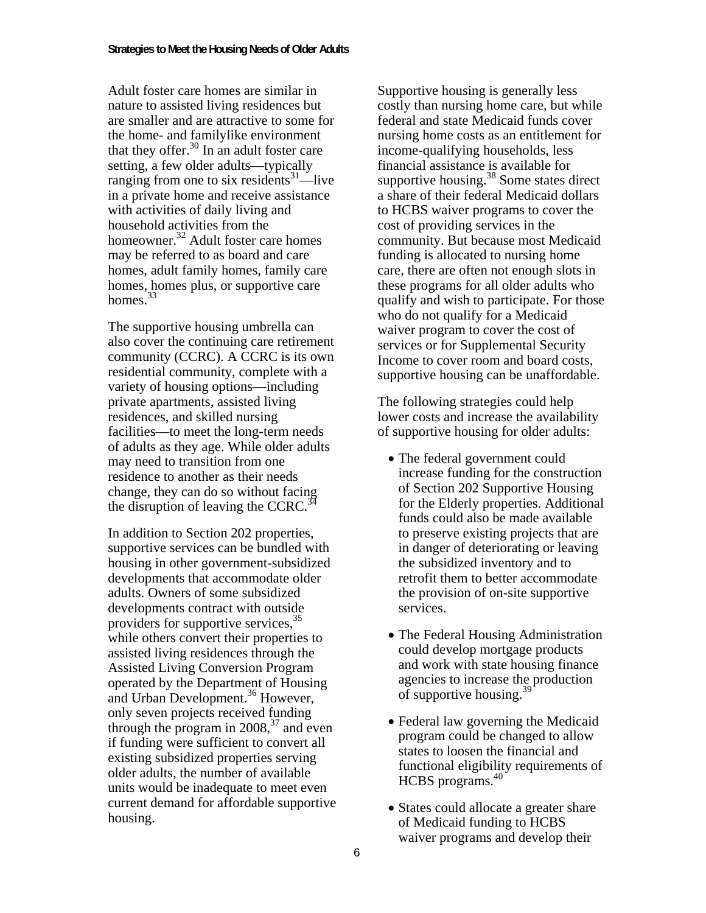Adult foster care homes are similar in nature to assisted living residences but are smaller and are attractive to some for the home- and familylike environment that they offer. $30 \text{ In an adult foster care}$ setting, a few older adults—typically ranging from one to six residents $31$ —live in a private home and receive assistance with activities of daily living and household activities from the homeowner.<sup>32</sup> Adult foster care homes may be referred to as board and care homes, adult family homes, family care homes, homes plus, or supportive care homes. $33$ 

The supportive housing umbrella can also cover the continuing care retirement community (CCRC). A CCRC is its own residential community, complete with a variety of housing options—including private apartments, assisted living residences, and skilled nursing facilities—to meet the long-term needs of adults as they age. While older adults may need to transition from one residence to another as their needs change, they can do so without facing the disruption of leaving the CCRC. $^{34}$ 

In addition to Section 202 properties, supportive services can be bundled with housing in other government-subsidized developments that accommodate older adults. Owners of some subsidized developments contract with outside providers for supportive services,<sup>35</sup> while others convert their properties to assisted living residences through the Assisted Living Conversion Program operated by the Department of Housing and Urban Development.<sup>36</sup> However, only seven projects received funding through the program in  $2008<sup>37</sup>$  and even if funding were sufficient to convert all existing subsidized properties serving older adults, the number of available units would be inadequate to meet even current demand for affordable supportive housing.

Supportive housing is generally less costly than nursing home care, but while federal and state Medicaid funds cover nursing home costs as an entitlement for income-qualifying households, less financial assistance is available for supportive housing.<sup>38</sup> Some states direct a share of their federal Medicaid dollars to HCBS waiver programs to cover the cost of providing services in the community. But because most Medicaid funding is allocated to nursing home care, there are often not enough slots in these programs for all older adults who qualify and wish to participate. For those who do not qualify for a Medicaid waiver program to cover the cost of services or for Supplemental Security Income to cover room and board costs, supportive housing can be unaffordable.

The following strategies could help lower costs and increase the availability of supportive housing for older adults:

- The federal government could increase funding for the construction of Section 202 Supportive Housing for the Elderly properties. Additional funds could also be made available to preserve existing projects that are in danger of deteriorating or leaving the subsidized inventory and to retrofit them to better accommodate the provision of on-site supportive services.
- The Federal Housing Administration could develop mortgage products and work with state housing finance agencies to increase the production of supportive housing.<sup>39</sup>
- Federal law governing the Medicaid program could be changed to allow states to loosen the financial and functional eligibility requirements of HCBS programs.<sup>40</sup>
- States could allocate a greater share of Medicaid funding to HCBS waiver programs and develop their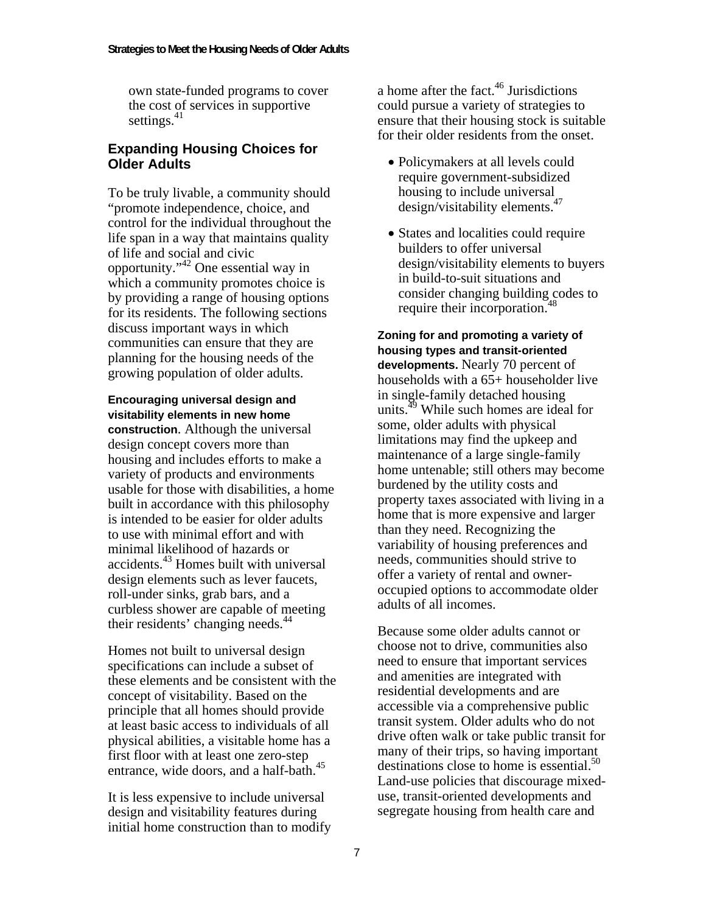own state-funded programs to cover the cost of services in supportive settings. $41$ 

#### **Expanding Housing Choices for Older Adults**

To be truly livable, a community should "promote independence, choice, and control for the individual throughout the life span in a way that maintains quality of life and social and civic opportunity."42 One essential way in which a community promotes choice is by providing a range of housing options for its residents. The following sections discuss important ways in which communities can ensure that they are planning for the housing needs of the growing population of older adults.

**Encouraging universal design and visitability elements in new home construction**. Although the universal design concept covers more than housing and includes efforts to make a variety of products and environments usable for those with disabilities, a home built in accordance with this philosophy is intended to be easier for older adults to use with minimal effort and with minimal likelihood of hazards or accidents.43 Homes built with universal design elements such as lever faucets, roll-under sinks, grab bars, and a curbless shower are capable of meeting their residents' changing needs.<sup>44</sup>

Homes not built to universal design specifications can include a subset of these elements and be consistent with the concept of visitability. Based on the principle that all homes should provide at least basic access to individuals of all physical abilities, a visitable home has a first floor with at least one zero-step entrance, wide doors, and a half-bath.<sup>45</sup>

It is less expensive to include universal design and visitability features during initial home construction than to modify a home after the fact.<sup>46</sup> Jurisdictions could pursue a variety of strategies to ensure that their housing stock is suitable for their older residents from the onset.

- Policymakers at all levels could require government-subsidized housing to include universal design/visitability elements.<sup>47</sup>
- States and localities could require builders to offer universal design/visitability elements to buyers in build-to-suit situations and consider changing building codes to require their incorporation.<sup>48</sup>

**Zoning for and promoting a variety of housing types and transit-oriented developments.** Nearly 70 percent of households with a 65+ householder live in single-family detached housing units.<sup>49</sup> While such homes are ideal for some, older adults with physical limitations may find the upkeep and maintenance of a large single-family home untenable; still others may become burdened by the utility costs and property taxes associated with living in a home that is more expensive and larger than they need. Recognizing the variability of housing preferences and needs, communities should strive to offer a variety of rental and owneroccupied options to accommodate older adults of all incomes.

Because some older adults cannot or choose not to drive, communities also need to ensure that important services and amenities are integrated with residential developments and are accessible via a comprehensive public transit system. Older adults who do not drive often walk or take public transit for many of their trips, so having important destinations close to home is essential. $50$ Land-use policies that discourage mixeduse, transit-oriented developments and segregate housing from health care and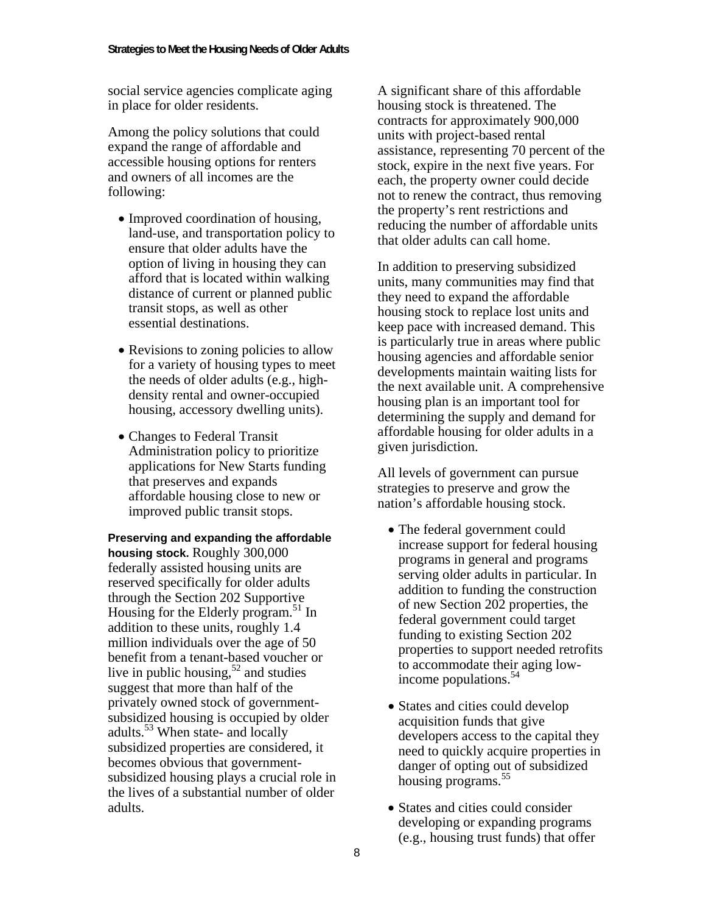social service agencies complicate aging in place for older residents.

Among the policy solutions that could expand the range of affordable and accessible housing options for renters and owners of all incomes are the following:

- Improved coordination of housing, land-use, and transportation policy to ensure that older adults have the option of living in housing they can afford that is located within walking distance of current or planned public transit stops, as well as other essential destinations.
- Revisions to zoning policies to allow for a variety of housing types to meet the needs of older adults (e.g., highdensity rental and owner-occupied housing, accessory dwelling units).
- Changes to Federal Transit Administration policy to prioritize applications for New Starts funding that preserves and expands affordable housing close to new or improved public transit stops.

**Preserving and expanding the affordable housing stock.** Roughly 300,000 federally assisted housing units are reserved specifically for older adults through the Section 202 Supportive Housing for the Elderly program.<sup>51</sup> In addition to these units, roughly 1.4 million individuals over the age of 50 benefit from a tenant-based voucher or live in public housing,  $52$  and studies suggest that more than half of the privately owned stock of governmentsubsidized housing is occupied by older adults.<sup>53</sup> When state- and locally subsidized properties are considered, it becomes obvious that governmentsubsidized housing plays a crucial role in the lives of a substantial number of older adults.

A significant share of this affordable housing stock is threatened. The contracts for approximately 900,000 units with project-based rental assistance, representing 70 percent of the stock, expire in the next five years. For each, the property owner could decide not to renew the contract, thus removing the property's rent restrictions and reducing the number of affordable units that older adults can call home.

In addition to preserving subsidized units, many communities may find that they need to expand the affordable housing stock to replace lost units and keep pace with increased demand. This is particularly true in areas where public housing agencies and affordable senior developments maintain waiting lists for the next available unit. A comprehensive housing plan is an important tool for determining the supply and demand for affordable housing for older adults in a given jurisdiction.

All levels of government can pursue strategies to preserve and grow the nation's affordable housing stock.

- The federal government could increase support for federal housing programs in general and programs serving older adults in particular. In addition to funding the construction of new Section 202 properties, the federal government could target funding to existing Section 202 properties to support needed retrofits to accommodate their aging lowincome populations.<sup>54</sup>
- States and cities could develop acquisition funds that give developers access to the capital they need to quickly acquire properties in danger of opting out of subsidized housing programs.<sup>55</sup>
- States and cities could consider developing or expanding programs (e.g., housing trust funds) that offer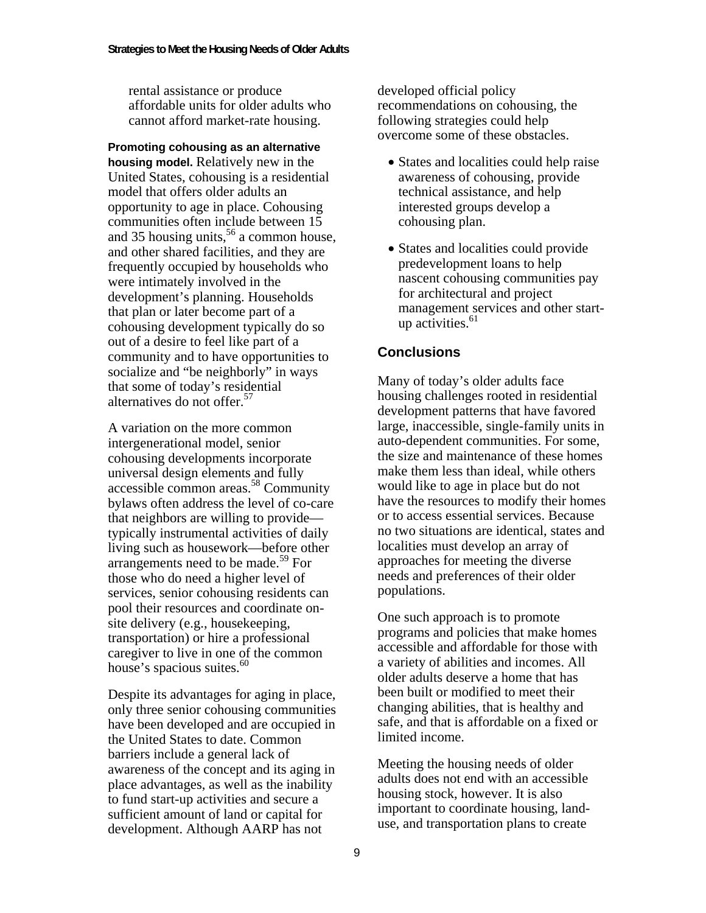rental assistance or produce affordable units for older adults who cannot afford market-rate housing.

**Promoting cohousing as an alternative housing model.** Relatively new in the United States, cohousing is a residential model that offers older adults an opportunity to age in place. Cohousing communities often include between 15 and 35 housing units,  $56$  a common house, and other shared facilities, and they are frequently occupied by households who were intimately involved in the development's planning. Households that plan or later become part of a cohousing development typically do so out of a desire to feel like part of a community and to have opportunities to socialize and "be neighborly" in ways that some of today's residential alternatives do not offer.<sup>57</sup>

A variation on the more common intergenerational model, senior cohousing developments incorporate universal design elements and fully accessible common areas.58 Community bylaws often address the level of co-care that neighbors are willing to provide typically instrumental activities of daily living such as housework—before other arrangements need to be made.<sup>59</sup> For those who do need a higher level of services, senior cohousing residents can pool their resources and coordinate onsite delivery (e.g., housekeeping, transportation) or hire a professional caregiver to live in one of the common house's spacious suites.<sup>60</sup>

Despite its advantages for aging in place, only three senior cohousing communities have been developed and are occupied in the United States to date. Common barriers include a general lack of awareness of the concept and its aging in place advantages, as well as the inability to fund start-up activities and secure a sufficient amount of land or capital for development. Although AARP has not

developed official policy recommendations on cohousing, the following strategies could help overcome some of these obstacles.

- States and localities could help raise awareness of cohousing, provide technical assistance, and help interested groups develop a cohousing plan.
- States and localities could provide predevelopment loans to help nascent cohousing communities pay for architectural and project management services and other startup activities.<sup>61</sup>

### **Conclusions**

Many of today's older adults face housing challenges rooted in residential development patterns that have favored large, inaccessible, single-family units in auto-dependent communities. For some, the size and maintenance of these homes make them less than ideal, while others would like to age in place but do not have the resources to modify their homes or to access essential services. Because no two situations are identical, states and localities must develop an array of approaches for meeting the diverse needs and preferences of their older populations.

One such approach is to promote programs and policies that make homes accessible and affordable for those with a variety of abilities and incomes. All older adults deserve a home that has been built or modified to meet their changing abilities, that is healthy and safe, and that is affordable on a fixed or limited income.

Meeting the housing needs of older adults does not end with an accessible housing stock, however. It is also important to coordinate housing, landuse, and transportation plans to create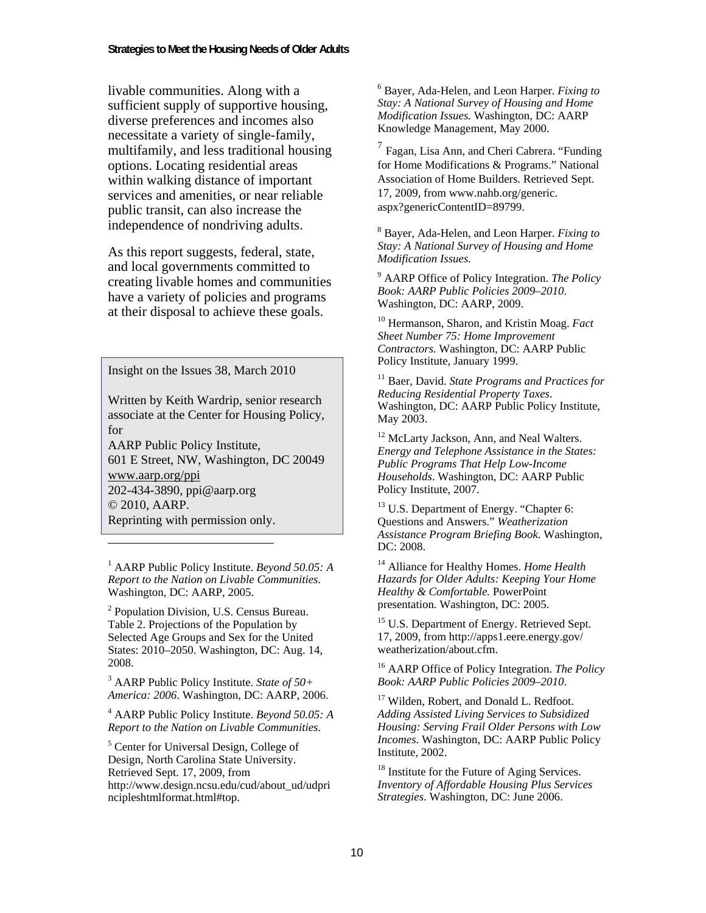livable communities. Along with a sufficient supply of supportive housing, diverse preferences and incomes also necessitate a variety of single-family, multifamily, and less traditional housing options. Locating residential areas within walking distance of important services and amenities, or near reliable public transit, can also increase the independence of nondriving adults.

As this report suggests, federal, state, and local governments committed to creating livable homes and communities have a variety of policies and programs at their disposal to achieve these goals.

Insight on the Issues 38, March 2010

Written by Keith Wardrip, senior research associate at the Center for Housing Policy, for

AARP Public Policy Institute, 601 E Street, NW, Washington, DC 20049 www.aarp.org/ppi 202-434-3890, ppi@aarp.org © 2010, AARP. Reprinting with permission only.

1 AARP Public Policy Institute. *Beyond 50.05: A Report to the Nation on Livable Communities*. Washington, DC: AARP, 2005.

 $\overline{a}$ 

<sup>2</sup> Population Division, U.S. Census Bureau. Table 2. Projections of the Population by Selected Age Groups and Sex for the United States: 2010–2050. Washington, DC: Aug. 14, 2008.

3 AARP Public Policy Institute. *State of 50+ America: 2006*. Washington, DC: AARP, 2006.

4 AARP Public Policy Institute. *Beyond 50.05: A Report to the Nation on Livable Communities*.

5 Center for Universal Design, College of Design, North Carolina State University. Retrieved Sept. 17, 2009, from http://www.design.ncsu.edu/cud/about\_ud/udpri ncipleshtmlformat.html#top.

6 Bayer, Ada-Helen, and Leon Harper. *Fixing to Stay: A National Survey of Housing and Home Modification Issues.* Washington, DC: AARP Knowledge Management, May 2000.

 $<sup>7</sup>$  Fagan, Lisa Ann, and Cheri Cabrera. "Funding</sup> for Home Modifications & Programs." National Association of Home Builders. Retrieved Sept. 17, 2009, from www.nahb.org/generic. aspx?genericContentID=89799.

8 Bayer, Ada-Helen, and Leon Harper. *Fixing to Stay: A National Survey of Housing and Home Modification Issues.* 

9 AARP Office of Policy Integration. *The Policy Book: AARP Public Policies 2009–2010*. Washington, DC: AARP, 2009.

10 Hermanson, Sharon, and Kristin Moag. *Fact Sheet Number 75: Home Improvement Contractors.* Washington, DC: AARP Public Policy Institute, January 1999.

11 Baer, David. *State Programs and Practices for Reducing Residential Property Taxes*. Washington, DC: AARP Public Policy Institute, May 2003.

<sup>12</sup> McLarty Jackson, Ann, and Neal Walters. *Energy and Telephone Assistance in the States: Public Programs That Help Low-Income Households*. Washington, DC: AARP Public Policy Institute, 2007.

 $13$  U.S. Department of Energy. "Chapter 6: Questions and Answers." *Weatherization Assistance Program Briefing Book*. Washington, DC: 2008.

14 Alliance for Healthy Homes. *Home Health Hazards for Older Adults: Keeping Your Home Healthy & Comfortable.* PowerPoint presentation*.* Washington, DC: 2005.

<sup>15</sup> U.S. Department of Energy. Retrieved Sept. 17, 2009, from http://apps1.eere.energy.gov/ weatherization/about.cfm.

16 AARP Office of Policy Integration. *The Policy Book: AARP Public Policies 2009–2010*.

<sup>17</sup> Wilden, Robert, and Donald L. Redfoot. *Adding Assisted Living Services to Subsidized Housing: Serving Frail Older Persons with Low Incomes*. Washington, DC: AARP Public Policy Institute, 2002.

<sup>18</sup> Institute for the Future of Aging Services. *Inventory of Affordable Housing Plus Services Strategies*. Washington, DC: June 2006.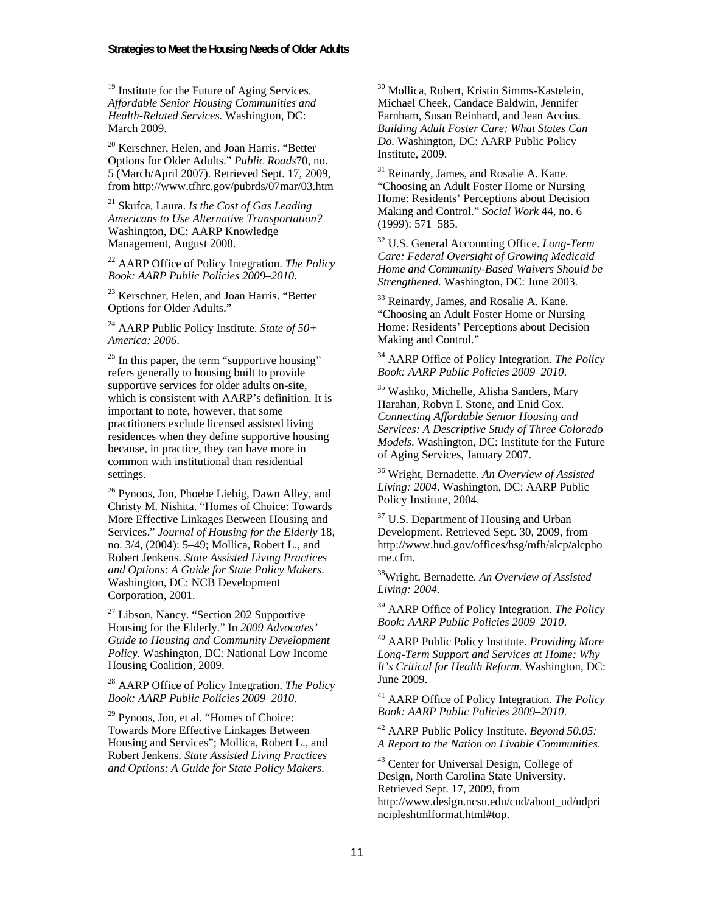<sup>19</sup> Institute for the Future of Aging Services. *Affordable Senior Housing Communities and Health-Related Services.* Washington, DC: March 2009.

<sup>20</sup> Kerschner, Helen, and Joan Harris. "Better Options for Older Adults." *Public Roads*70, no. 5 (March/April 2007). Retrieved Sept. 17, 2009, from http://www.tfhrc.gov/pubrds/07mar/03.htm

21 Skufca, Laura. *Is the Cost of Gas Leading Americans to Use Alternative Transportation?* Washington, DC: AARP Knowledge Management, August 2008.

22 AARP Office of Policy Integration. *The Policy Book: AARP Public Policies 2009–2010*.

<sup>23</sup> Kerschner, Helen, and Joan Harris. "Better Options for Older Adults."

24 AARP Public Policy Institute. *State of 50+ America: 2006*.

 $25$  In this paper, the term "supportive housing" refers generally to housing built to provide supportive services for older adults on-site, which is consistent with AARP's definition. It is important to note, however, that some practitioners exclude licensed assisted living residences when they define supportive housing because, in practice, they can have more in common with institutional than residential settings.

26 Pynoos, Jon, Phoebe Liebig, Dawn Alley, and Christy M. Nishita. "Homes of Choice: Towards More Effective Linkages Between Housing and Services." *Journal of Housing for the Elderly* 18, no. 3/4, (2004): 5*–*49; Mollica, Robert L., and Robert Jenkens. *State Assisted Living Practices and Options: A Guide for State Policy Makers*. Washington, DC: NCB Development Corporation, 2001.

 $27$  Libson, Nancy. "Section 202 Supportive Housing for the Elderly." In *2009 Advocates' Guide to Housing and Community Development Policy.* Washington, DC: National Low Income Housing Coalition, 2009.

28 AARP Office of Policy Integration. *The Policy Book: AARP Public Policies 2009–2010*.

 $29$  Pynoos, Jon, et al. "Homes of Choice: Towards More Effective Linkages Between Housing and Services"; Mollica, Robert L., and Robert Jenkens. *State Assisted Living Practices and Options: A Guide for State Policy Makers*.

30 Mollica, Robert, Kristin Simms-Kastelein, Michael Cheek, Candace Baldwin, Jennifer Farnham, Susan Reinhard, and Jean Accius. *Building Adult Foster Care: What States Can Do.* Washington, DC: AARP Public Policy Institute, 2009.

 $31$  Reinardy, James, and Rosalie A. Kane. "Choosing an Adult Foster Home or Nursing Home: Residents' Perceptions about Decision Making and Control." *Social Work* 44, no. 6 (1999): 571–585.

32 U.S. General Accounting Office. *Long-Term Care: Federal Oversight of Growing Medicaid Home and Community-Based Waivers Should be Strengthened.* Washington, DC: June 2003.

<sup>33</sup> Reinardy, James, and Rosalie A. Kane. "Choosing an Adult Foster Home or Nursing Home: Residents' Perceptions about Decision Making and Control."

34 AARP Office of Policy Integration. *The Policy Book: AARP Public Policies 2009*–*2010*.

35 Washko, Michelle, Alisha Sanders, Mary Harahan, Robyn I. Stone, and Enid Cox. *Connecting Affordable Senior Housing and Services: A Descriptive Study of Three Colorado Models*. Washington, DC: Institute for the Future of Aging Services, January 2007.

36 Wright, Bernadette. *An Overview of Assisted Living: 2004*. Washington, DC: AARP Public Policy Institute, 2004.

<sup>37</sup> U.S. Department of Housing and Urban Development. Retrieved Sept. 30, 2009, from http://www.hud.gov/offices/hsg/mfh/alcp/alcpho me.cfm.

38Wright, Bernadette. *An Overview of Assisted Living: 2004*.

39 AARP Office of Policy Integration. *The Policy Book: AARP Public Policies 2009*–*2010*.

40 AARP Public Policy Institute. *Providing More Long-Term Support and Services at Home: Why It's Critical for Health Reform.* Washington, DC: June 2009.

41 AARP Office of Policy Integration. *The Policy Book: AARP Public Policies 2009*–*2010*.

42 AARP Public Policy Institute. *Beyond 50.05: A Report to the Nation on Livable Communities*.

43 Center for Universal Design, College of Design, North Carolina State University. Retrieved Sept. 17, 2009, from http://www.design.ncsu.edu/cud/about\_ud/udpri ncipleshtmlformat.html#top.